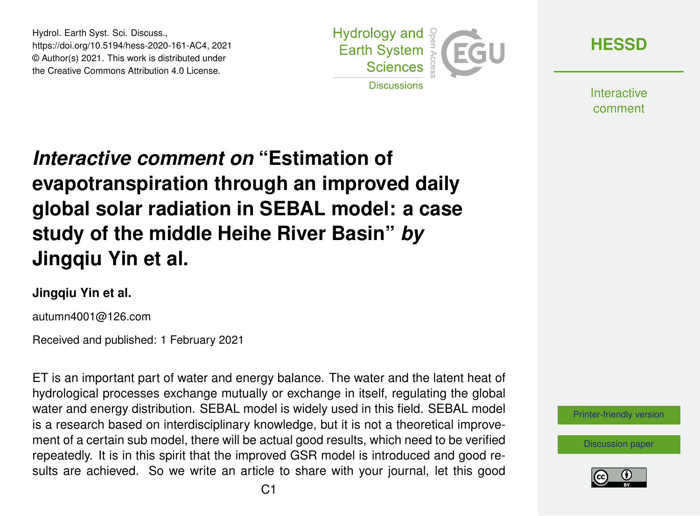Hydrol. Earth Syst. Sci. Discuss., https://doi.org/10.5194/hess-2020-161-AC4, 2021 © Author(s) 2021. This work is distributed under the Creative Commons Attribution 4.0 License.



**[HESSD](https://hess.copernicus.org/preprints/)**

**Interactive** comment

# *Interactive comment on* **"Estimation of evapotranspiration through an improved daily global solar radiation in SEBAL model: a case study of the middle Heihe River Basin"** *by* **Jingqiu Yin et al.**

#### **Jingqiu Yin et al.**

autumn4001@126.com

Received and published: 1 February 2021

ET is an important part of water and energy balance. The water and the latent heat of hydrological processes exchange mutually or exchange in itself, regulating the global water and energy distribution. SEBAL model is widely used in this field. SEBAL model is a research based on interdisciplinary knowledge, but it is not a theoretical improvement of a certain sub model, there will be actual good results, which need to be verified repeatedly. It is in this spirit that the improved GSR model is introduced and good results are achieved. So we write an article to share with your journal, let this good



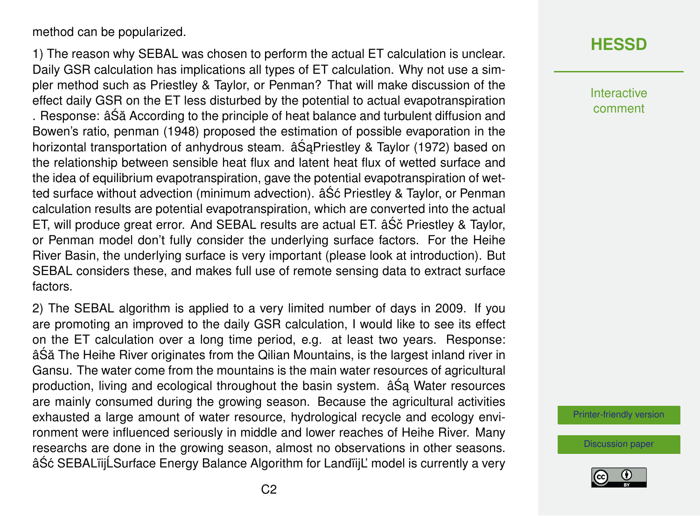method can be popularized.

1) The reason why SEBAL was chosen to perform the actual ET calculation is unclear. Daily GSR calculation has implications all types of ET calculation. Why not use a simpler method such as Priestley & Taylor, or Penman? That will make discussion of the effect daily GSR on the ET less disturbed by the potential to actual evapotranspiration . Response: âSă According to the principle of heat balance and turbulent diffusion and Bowen's ratio, penman (1948) proposed the estimation of possible evaporation in the horizontal transportation of anhydrous steam. â Sa Priestley & Taylor (1972) based on the relationship between sensible heat flux and latent heat flux of wetted surface and the idea of equilibrium evapotranspiration, gave the potential evapotranspiration of wetted surface without advection (minimum advection).  $\hat{a}$  Sc Priestley & Taylor, or Penman calculation results are potential evapotranspiration, which are converted into the actual ET, will produce great error. And SEBAL results are actual ET.  $âSč$  Priestley & Taylor, or Penman model don't fully consider the underlying surface factors. For the Heihe River Basin, the underlying surface is very important (please look at introduction). But SEBAL considers these, and makes full use of remote sensing data to extract surface factors.

2) The SEBAL algorithm is applied to a very limited number of days in 2009. If you are promoting an improved to the daily GSR calculation, I would like to see its effect on the ET calculation over a long time period, e.g. at least two years. Response: âSă The Heihe River originates from the Qilian Mountains, is the largest inland river in Gansu. The water come from the mountains is the main water resources of agricultural production, living and ecological throughout the basin system.  $â\hat{S}a$  Water resources are mainly consumed during the growing season. Because the agricultural activities exhausted a large amount of water resource, hydrological recycle and ecology environment were influenced seriously in middle and lower reaches of Heihe River. Many researchs are done in the growing season, almost no observations in other seasons. âŚć SEBALïijĹSurface Energy Balance Algorithm for LandïijL' model is currently a very

### **[HESSD](https://hess.copernicus.org/preprints/)**

Interactive comment

[Printer-friendly version](https://hess.copernicus.org/preprints/hess-2020-161/hess-2020-161-AC4-print.pdf)

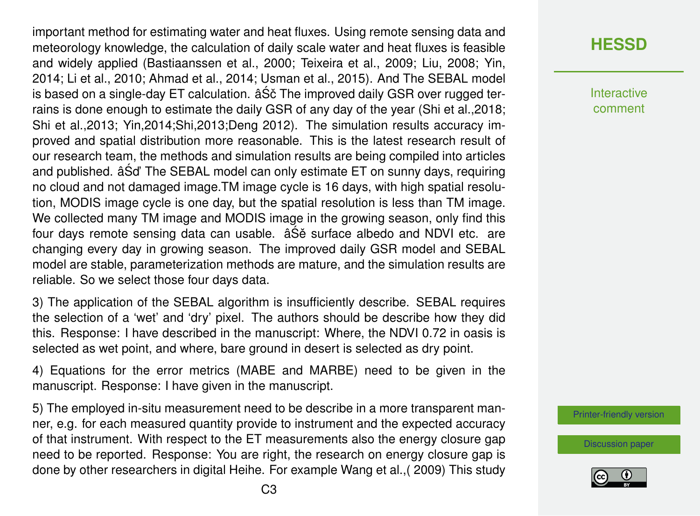important method for estimating water and heat fluxes. Using remote sensing data and meteorology knowledge, the calculation of daily scale water and heat fluxes is feasible and widely applied (Bastiaanssen et al., 2000; Teixeira et al., 2009; Liu, 2008; Yin, 2014; Li et al., 2010; Ahmad et al., 2014; Usman et al., 2015). And The SEBAL model is based on a single-day ET calculation. âS $\check{\rm c}$  The improved daily GSR over rugged terrains is done enough to estimate the daily GSR of any day of the year (Shi et al.,2018; Shi et al.,2013; Yin,2014;Shi,2013;Deng 2012). The simulation results accuracy improved and spatial distribution more reasonable. This is the latest research result of our research team, the methods and simulation results are being compiled into articles and published.  $\hat{a}\hat{S}$ d' The SEBAL model can only estimate ET on sunny days, requiring no cloud and not damaged image.TM image cycle is 16 days, with high spatial resolution, MODIS image cycle is one day, but the spatial resolution is less than TM image. We collected many TM image and MODIS image in the growing season, only find this four days remote sensing data can usable.  $âS\acute{e}$  surface albedo and NDVI etc. are changing every day in growing season. The improved daily GSR model and SEBAL model are stable, parameterization methods are mature, and the simulation results are reliable. So we select those four days data.

3) The application of the SEBAL algorithm is insufficiently describe. SEBAL requires the selection of a 'wet' and 'dry' pixel. The authors should be describe how they did this. Response: I have described in the manuscript: Where, the NDVI 0.72 in oasis is selected as wet point, and where, bare ground in desert is selected as dry point.

4) Equations for the error metrics (MABE and MARBE) need to be given in the manuscript. Response: I have given in the manuscript.

5) The employed in-situ measurement need to be describe in a more transparent manner, e.g. for each measured quantity provide to instrument and the expected accuracy of that instrument. With respect to the ET measurements also the energy closure gap need to be reported. Response: You are right, the research on energy closure gap is done by other researchers in digital Heihe. For example Wang et al.,( 2009) This study

### **[HESSD](https://hess.copernicus.org/preprints/)**

Interactive comment

[Printer-friendly version](https://hess.copernicus.org/preprints/hess-2020-161/hess-2020-161-AC4-print.pdf)

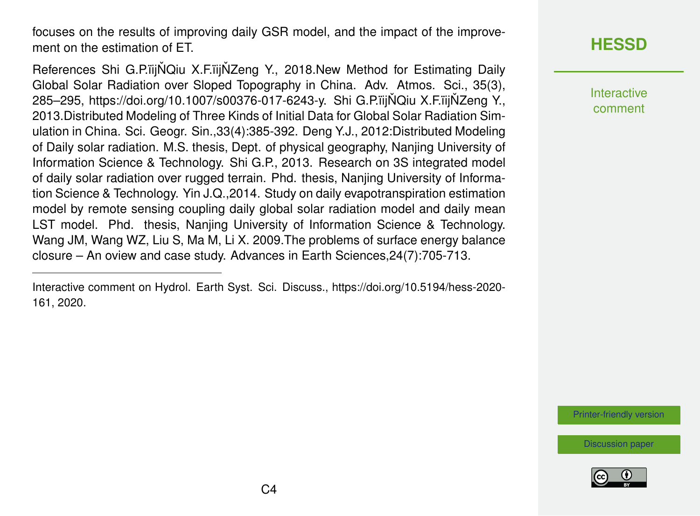focuses on the results of improving daily GSR model, and the impact of the improvement on the estimation of FT.

References Shi G.P.ïij ŇQiu X.F.ïij ŇZeng Y., 2018.New Method for Estimating Daily Global Solar Radiation over Sloped Topography in China. Adv. Atmos. Sci., 35(3), 285–295, https://doi.org/10.1007/s00376-017-6243-y. Shi G.P.iijNQiu X.F.iijNZeng Y., 2013.Distributed Modeling of Three Kinds of Initial Data for Global Solar Radiation Simulation in China. Sci. Geogr. Sin.,33(4):385-392. Deng Y.J., 2012:Distributed Modeling of Daily solar radiation. M.S. thesis, Dept. of physical geography, Nanjing University of Information Science & Technology. Shi G.P., 2013. Research on 3S integrated model of daily solar radiation over rugged terrain. Phd. thesis, Nanjing University of Information Science & Technology. Yin J.Q.,2014. Study on daily evapotranspiration estimation model by remote sensing coupling daily global solar radiation model and daily mean LST model. Phd. thesis, Nanjing University of Information Science & Technology. Wang JM, Wang WZ, Liu S, Ma M, Li X. 2009.The problems of surface energy balance closure – An oview and case study. Advances in Earth Sciences,24(7):705-713.

Interactive comment on Hydrol. Earth Syst. Sci. Discuss., https://doi.org/10.5194/hess-2020- 161, 2020.

## **[HESSD](https://hess.copernicus.org/preprints/)**

Interactive comment

[Printer-friendly version](https://hess.copernicus.org/preprints/hess-2020-161/hess-2020-161-AC4-print.pdf)